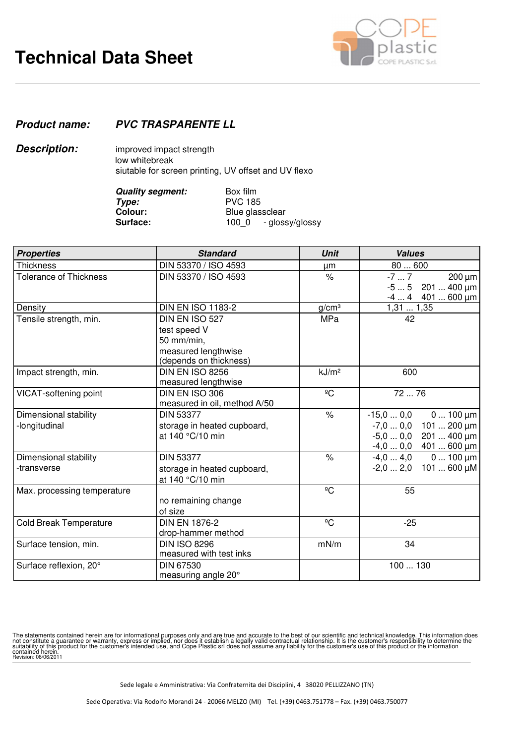

## **Product name: PVC TRASPARENTE LL**

**Description:** improved impact strength low whitebreak siutable for screen printing, UV offset and UV flexo

| <b>Quality segment:</b> | Box film                 |  |  |
|-------------------------|--------------------------|--|--|
| Type:                   | <b>PVC 185</b>           |  |  |
| Colour:                 | Blue glassclear          |  |  |
| <b>Surface:</b>         | - glossy/glossy<br>100 0 |  |  |

| <b>Properties</b>                      | <b>Standard</b>                                                                               | <b>Unit</b>          | <b>Values</b>                                                                                                 |
|----------------------------------------|-----------------------------------------------------------------------------------------------|----------------------|---------------------------------------------------------------------------------------------------------------|
| <b>Thickness</b>                       | DIN 53370 / ISO 4593                                                                          | μm                   | 80600                                                                                                         |
| <b>Tolerance of Thickness</b>          | DIN 53370 / ISO 4593                                                                          | $\%$                 | $-77$<br>$200 \mu m$<br>$201400 \,\mu m$<br>$-55$<br>$401600 \mu m$<br>$-44$                                  |
| Density                                | <b>DIN EN ISO 1183-2</b>                                                                      | g/cm <sup>3</sup>    | 1,311,35                                                                                                      |
| Tensile strength, min.                 | DIN EN ISO 527<br>test speed V<br>50 mm/min,<br>measured lengthwise<br>(depends on thickness) | MPa                  | 42                                                                                                            |
| Impact strength, min.                  | <b>DIN EN ISO 8256</b><br>measured lengthwise                                                 | kJ/m <sup>2</sup>    | 600                                                                                                           |
| VICAT-softening point                  | DIN EN ISO 306<br>measured in oil, method A/50                                                | ${}^{\circ}C$        | 72  76                                                                                                        |
| Dimensional stability<br>-longitudinal | <b>DIN 53377</b><br>storage in heated cupboard,<br>at 140 °C/10 min                           | $\frac{1}{\sqrt{2}}$ | $0100 \mu m$<br>$-15.00.0$<br>$-7,00,0$ 101  200 µm<br>$-5.00.0$<br>$201400 \,\mu m$<br>$-4,00,0$ 401  600 µm |
| Dimensional stability<br>-transverse   | <b>DIN 53377</b><br>storage in heated cupboard,<br>at 140 °C/10 min                           | $\frac{1}{6}$        | $-4,04,0$<br>$0100 \mu m$<br>$-2,02,0$ 101  600 µM                                                            |
| Max. processing temperature            | no remaining change<br>of size                                                                | ${}^{\circ}C$        | 55                                                                                                            |
| <b>Cold Break Temperature</b>          | <b>DIN EN 1876-2</b><br>drop-hammer method                                                    | $\overline{C}$       | $-25$                                                                                                         |
| Surface tension, min.                  | <b>DIN ISO 8296</b><br>measured with test inks                                                | mN/m                 | 34                                                                                                            |
| Surface reflexion, 20°                 | <b>DIN 67530</b><br>measuring angle 20°                                                       |                      | 100  130                                                                                                      |

The statements contained herein are for informational purposes only and are true and accurate to the best of our scientific and technical knowledge. This information does<br>not constitute a guarantee or warranty, express or contained herein.<br>Revision: 06/06/2011

Sede legale e Amministrativa: Via Confraternita dei Disciplini, 4 38020 PELLIZZANO (TN)